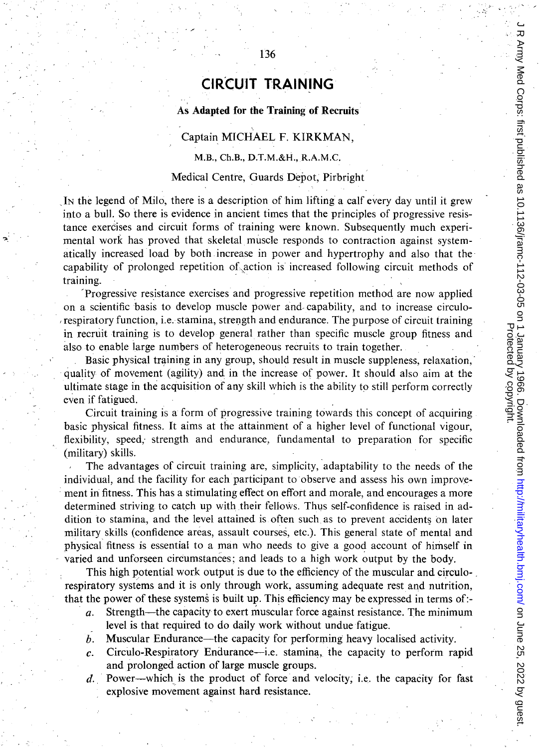# **CIR'CUIT TRAINING**

## As **Adapted for the Training of Recruits**

## Captain MICHAEL F. KIRKMAN,

## M.B., Ch.B., D.T.M.&H., R.A.M.C.

## Medical Centre, Guards Depot, Pirbright'

IN the legend of Milo, there is a description of him lifting a calf every day until it grew into a bull. So there is evidence in ancient times that the principles of progressive resistance exercises and circuit forms of training were known. Subsequently much experimental work has proved that skeletal muscle responds to contraction against systematically increased load by both increase in power and hypertrophy and also that the' capability of prolonged repetition of,.action is increased following circuit methods of training.

-Progressive resistance exercises and progressive repetition method are now applied on a scientific basis to develop muscle power and· capability, and to increase circulo respiratory function, i.e. stamina, strength and endurance. The purpose of circuit training in recruit training is to develop general rather than specific muscle group fitness and also to enable large numbers of heterogeneous recruits to train together.

Basic physical training in any group, should result in muscle suppleness, relaxation, $\overline{\phantom{a}}$ quality of movement (agility) and in the increase of power. It should also aim at the ultimate stage in the acquisition of any skill which is the ability to still perform correctly even if fatigued.

Circuit training is a form of progressive training towards this concept of acquiring basic physical fitness. It aims at the attainment of a higher level of functional vigour, flexibility, speed; strength and endurance, fundamental to preparation for specific (military) skills.

The advantages of circuit training are, simplicity, adaptability to the needs of the individual, and the facility for each participant to' observe and assess his own improve ment in fitness. This has a stimulating effect on effort and morale, and encourages a more determined striving to catch up with their fellows. Thus self-confidence is raised in addition to stamina, and the level attained is often such as to prevent accidents on later military skills (confidence areas, assault courses, etc.). This general state of mental and physical fitness is essential to a man who needs to give a good account of himself in varied and unforseen circumstances; and leads to a high work output by the body.

This high potential work output is due to the efficiency of the muscular and circulorespiratory systems and it is only through work, assuming adequate rest and nutrition, that the power of these systems is built up. This efficiency may be expressed in terms of:-

- $a.$  Strength—the capacity to exert muscular force against resistance. The minimum level is that required to do daily work without undue fatigue.
- $b$ . Muscular Endurance—the capacity for performing heavy localised activity.
- *c.* Circulo-Respiratory Endurance-i.e. stamina, the capacity to perform rapid and prolonged action of large muscle groups.
- $d.$  Power—which is the product of force and velocity; i.e. the capacity for fast explosive movement against hard resistance.

" /

on June 25, 2022 by Griest. http://militaryhealth.bm/ June 20,090. Downloaddod toon 1 January 1966. Downloaddod from Highly.jramittaryhealth.bmj.com/ Du Published as 10.26 by 20.22 by 20 R Army Med Corps: first published as 10.1136/jramc-112-03-05 on 1 January 1966. Downloaded from http://militaryhealth.bmj.com/ on June 25, 2022 by guest.<br>. Protected by copyright.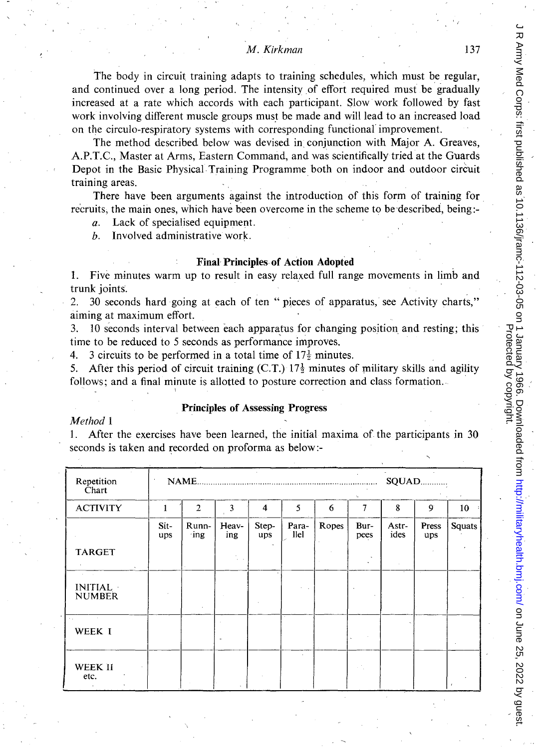*M. Kirkman* 137

The body in circuit training adapts to training schedules, which must be regular, and continued over a long period. The intensity of effort required must be gradually increased at a rate which accords with each participant. Slow work followed by fast work involving different muscle groups must be made and will lead to an increased load on the circulo-respiratory systems with corresponding functional improvement.

The method described below was devised in conjunction with Major A. Greaves, A.P.T.C., Master at Arms, Eastern Command, and was scientifically tried at the Guards Depot in the Basic Physical Training Programme both on indoor and outdoor circuit training areas.

There have been arguments against the introduction of this form of training for recruits, the main ones, which have been overcome in the scheme to be'described, being:-

*a.* Lack of specialised equipment.

I

*b.* Involved administrative work.

## :Final Principles of Action Adopted

1. Five minutes warm up to result in easy relaxed full range movements in limb and trunk joints.

2. 30 seconds hard going at each of ten" pieces of apparatus, see Activity charts," aiming at maximum effort.

3. 10 seconds interval between each apparatus for changing position and resting; this time to be reduced to 5 seconds as performance improves.

4. 3 circuits to be performed in a total time of  $17\frac{1}{2}$  minutes.

5. After this period of circuit training (C.T.)  $17\frac{1}{3}$  minutes of military skills and agility follows; and a final minute is allotted to posture correction and class formation. .

#### Principles of Assessing Progress

#### *Method* 1

1. After the exercises have been learned, the initial maxima of the participants in 30 seconds is taken and recorded on proforma as below:-

| Repetition<br>Chart             |             | NAME.          |              |              |               |       |              |               | SQUAD        |               |
|---------------------------------|-------------|----------------|--------------|--------------|---------------|-------|--------------|---------------|--------------|---------------|
| <b>ACTIVITY</b>                 | 1           | $\overline{2}$ | 3            | 4            | 5             | 6     |              | 8             | 9            | 10            |
|                                 | Sit-<br>ups | Runn-<br>ing   | Heav-<br>ing | Step-<br>ups | Para-<br>llel | Ropes | Bur-<br>pees | Astr-<br>ides | Press<br>ups | <b>Squats</b> |
| <b>TARGET</b>                   |             |                |              |              |               |       |              |               |              |               |
| <b>INITIAL</b><br><b>NUMBER</b> |             |                |              |              |               |       |              |               |              |               |
| WEEK I                          |             |                |              |              |               |       |              |               |              |               |
| WEEK II<br>etc.                 |             |                |              |              |               |       |              |               |              |               |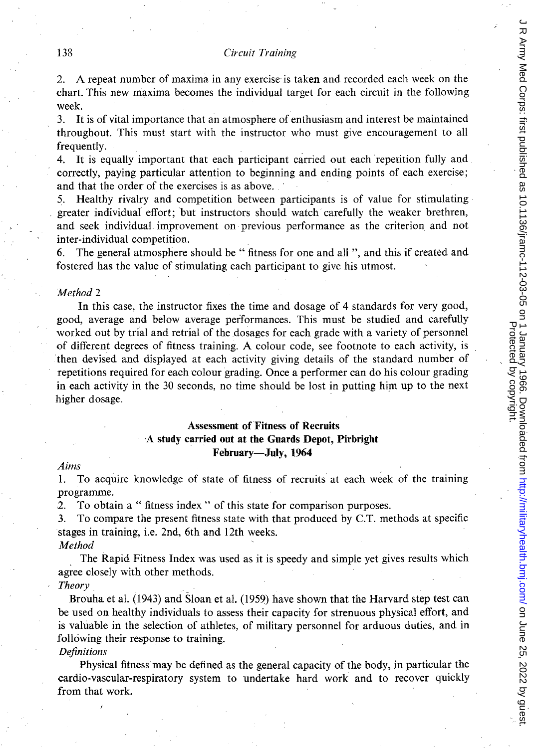## 138 *Circuit Training*

2. A repeat number of maxima in any exercise is taken and recorded each week on the chart. This new maxima becomes the individual target for each circuit in the following week.

3. It is of vital importance that an atmosphere of enthusiasm and interest be maintained throughout. This must start with the instructor who must give encouragement to all frequently.

4. It is equally important that each participant carried out each repetition fully and correctly, paying particular attention to beginning and ending points of each exercise; and that the order of the exercises is as above.

5. Healthy rivalry and competition between participants is of value for stimulating greater individuaf effort; but instructors should watch carefully the weaker brethren, and seek individual improvement on previous performance as the criterion and not inter-individual competition.

6. The general atmosphere should be " fitness for one and all ", and this if created and fostered has the value of stimulating each participant to give his utmost.

## *Method 2*

In this case, the instructor fixes the time and dosage of 4 standards for very good, good, average and below average performances. This must be studied and carefully worked out by trial and retrial of the dosages for each grade with a variety of personnel of different degrees of fitness training. A colour code, see footnote to each activity, is 'then devised and displayed at each activity giving details of the standard number of repetitions required for each colour grading. Once a performer can do his colour grading in each activity in the 30 seconds, no time should be lost in putting him up to the next higher dosage.

## Assessment of Fitness of Recruits A study carried out at the Guards Depot, Pirbright February-July, 1964

#### *Aims*

1. To acquire knowledge of state of fitness of recruits at each week of the training programme.

2. To obtain a " fitness index" of this state for comparison purposes.

3. To compare the present fitness state with that produced by C.T. methods at specific stages in training, i.e. 2nd, 6th and 12th weeks.

## *Method*

The Rapid Fitness Index was used as it is speedy and simple yet gives results which agree closely with other methods.

*Theory.* 

Brouha et al. (1943) and Sloan et al. (1959) have shown that the Harvard step test can be used on healthy individuals to assess their capacity for strenuous physical effort, and is valuable in the selection of athletes, of military personnel for arduous duties, and in following their response to training.

## *Definitions*

Physical fitness may be defined as the general capacity of the body, in particular the cardio-vascular-respiratory system to undertake hard work and to recover quickly from that work.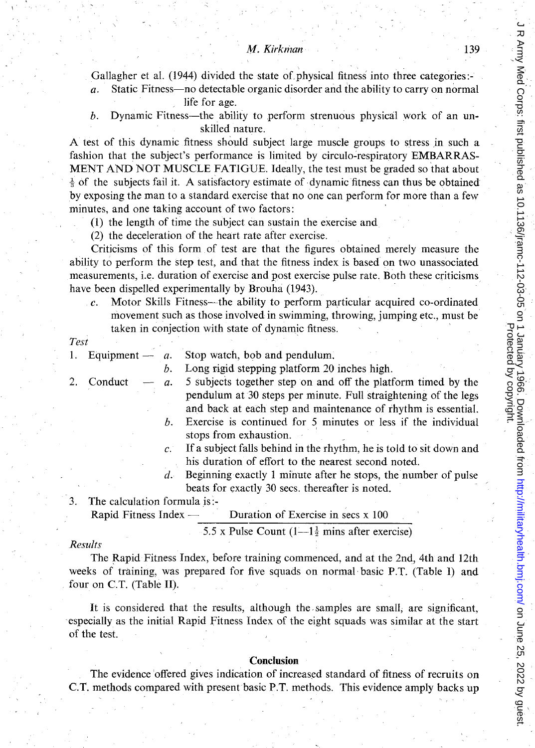Gallagher et al. (1944) divided the state of physical fitness into three categories:*a.* Static Fitness-no detectable organic disorder and the ability to carry on normal

life for age.

b. Dynamic Fitness—the ability to perform strenuous physical work of an unskilled nature.

A test of this dynamic fitness should subject large muscle groups to stress in such a fashion that the subject's performance is limited by circulo-respiratory EMBARRAS-MENT AND NOT MUSCLE FATIGUE. Ideally, the test must be graded so that about  $\frac{1}{2}$  of the subjects fail it. A satisfactory estimate of dynamic fitness can thus be obtained by exposing the man to a standard exercise that no one can perform for more than a few minutes, and one taking account of two factors:

(1) the length of time the subject can sustain the exercise and

(2) the deceleration of the heart rate after exercise.

Criticisms of this form of test are that the figures obtained merely measure the ability to perform the step test, and that the fitness index is based on two unassociated measurements, i.e. duration of exercise and post exercise pulse rate. Both these criticisms have been dispelled experimentally by Brouha (1943).

c. Motor Skills Fitness-the ability to perform particular acquired co-ordinated movement such as those involved in swimming, throwing, jumping etc., must be taken in conjection with state of dynamic fitness.

#### *Test*

1. Equipment  $-a$ . Stop watch, bob and pendulum.

- b. Long rigid stepping platform 20 inches high.
- 2. Conduct  $\overline{a}$  *a.* 5 subjects together step on and off the platform timed by the pendulum at 30 steps per minute. Full straightening of the legs and back at each step and maintenance of rhythm is essential.
	- b. Exercise is continued for 5 minutes or less if the individual stops from exhaustion.
	- $c$ . If a subject falls behind in the rhythm, he is told to sit down and his duration of effort to the nearest second noted.
	- d. Beginning exactly 1 minute after he stops, the number of pulse beats for exactly 30 secs. thereafter is noted.

3. The calculation formula is:-

Rapid Fitness Index  $\sim$  Duration of Exercise in secs x 100

 $-5.5$  x Pulse Count  $(1-1\frac{1}{2}$  mins after exercise)

### *Results*

The Rapid Fitness Index, before training commenced, and at the 2nd, 4th and 12th weeks of training, was prepared for five squads on normal basic P.T. (Table I) and four on C.T. (Table II).

It is considered that the results, although the. samples are small; are significant, especially as the initial Rapid Fitness Index of the eight squads was similar at the start of the test.

#### **Conclusion**

The evidence offered gives indication of increased standard of fitness of recruits on C.T. methods compared with present basic P.T. methods. This evidence amply backs up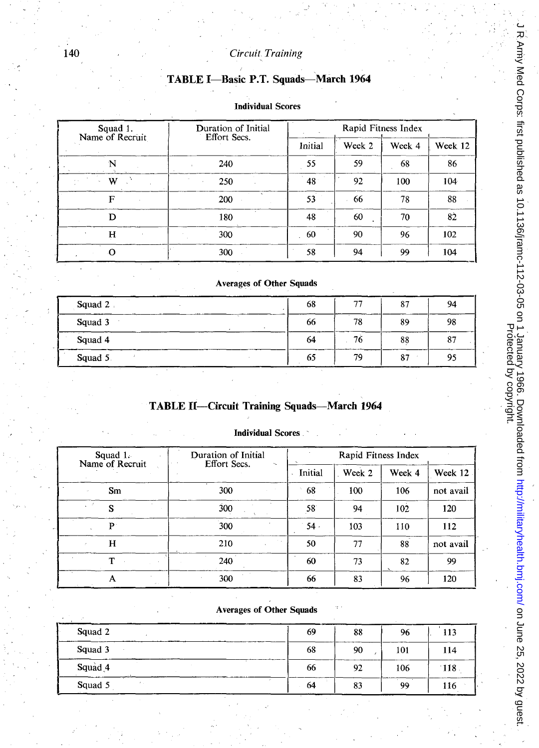## 140 *Circuit Training*

## TABLE I-Basic P.T. Squads-March 1964

| Squad 1.<br>Name of Recruit | Duration of Initial | Rapid Fitness Index |        |        |         |  |
|-----------------------------|---------------------|---------------------|--------|--------|---------|--|
|                             | Effort Secs.        | Initial             | Week 2 | Week 4 | Week 12 |  |
| 'N                          | 240                 | 55                  | 59     | 68     | 86      |  |
| W                           | 250                 | 48                  | 92     | 100    | 104     |  |
| F                           | $\sim$<br>200       | 53                  | 66     | 78     | 88      |  |
| D                           | 180                 | 48                  | 60     | 70     | 82      |  |
| H                           | 300                 | 60                  | 90     | 96     | 102     |  |
|                             | 300                 | 58                  | 94     | 99     | 104     |  |

#### Individual Scores

## Averages of Other Squads

| Squad 2  | 68 |    | 87 | 94 |
|----------|----|----|----|----|
| Squad 3  | 66 | 78 | 89 | 98 |
| Squad 4  | 64 | 76 | 88 | 87 |
| Squad 5. | 65 | 79 | 87 | 95 |

## TABLE II-Circuit Training Squads-March 1964

#### Individual Scores

| Squad 1.<br>Name of Recruit | Duration of Initial | Rapid Fitness Index |        |        |           |  |
|-----------------------------|---------------------|---------------------|--------|--------|-----------|--|
|                             | Effort Secs.        | Initial             | Week 2 | Week 4 | Week 12   |  |
| Sm                          | 300                 | 68                  | 100    | 106    | not avail |  |
| S                           | 300                 | 58                  | 94     | 102    | 120       |  |
| P                           | 300                 | 54.                 | 103    | 110    | 112       |  |
| H                           | 210                 | 50                  | 77     | 88     | not avail |  |
| т                           | 240                 | 60                  | 73     | 82     | 99        |  |
| А                           | 300                 | 66                  | 83     | 96     | 120       |  |

## Averages of Other Squads

| Squad 2                      | 69             | 88 | 96  | 113         |
|------------------------------|----------------|----|-----|-------------|
| Squad 3                      | 68             | 90 | 101 | 114         |
| Squad <sub>4</sub>           | ________<br>66 | 92 | 106 | $\cdot$ 118 |
| $\sim$ 1<br>Squad 5<br>10.10 | 64             | 83 | 99  | 116         |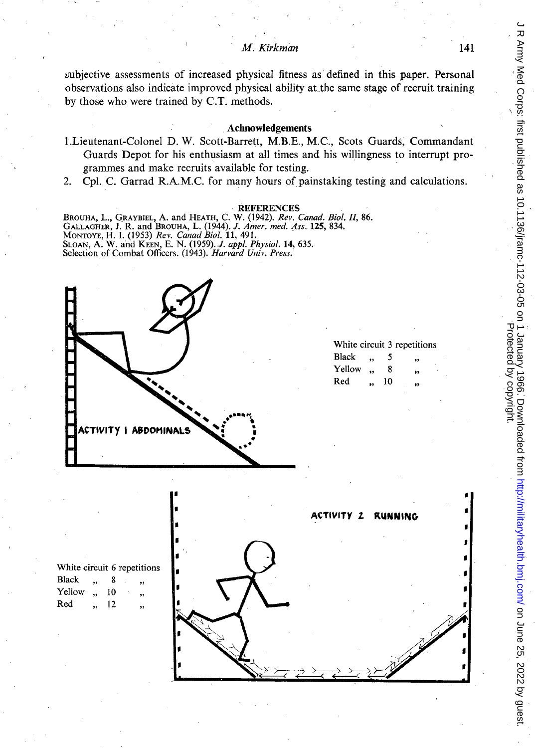*M. Kirkman* 141

subjective assessments of increased physical fitness as defined in this paper. Personal observations also indicate improved physical ability at. the same stage of recruit training by those who were trained by C.T. methods.

## . **Achnowledgements**

- l.Lieutenant-Colonel D. W. Scott-Barrett, M.B.E., M.C., Scots Guards, Commandant Guards Depot for his enthusiasm at all times and his willingness to interrupt programmes and make recruits available for testing. .
- 2. Cpl. C. Garrad R.A.M.C. for many hours of painstaking testing and calculations.

#### **REFERENCES**

BRouHA, L., QRAYBIEL, A. and HEATH, C. W. (1942). *Rev. Canad. BioI. II, 86.*  GALLAGHER, J. R. and BROUHA, L. (1944). *J. Amer. med. Ass.* 125, 834. MONTOYE, H. I. (1953) *Rev. Canad BioI.* 11,491. SLOAN, A. W. and KEEN, E. N. (1959). J. *appl. Physiol.* 14, 635. Selection of Combat Officers. (1943). *Harvard Univ. Press.* 





White circuit 6 repetitions **Black** Yellow .. 10 ,, Red , 12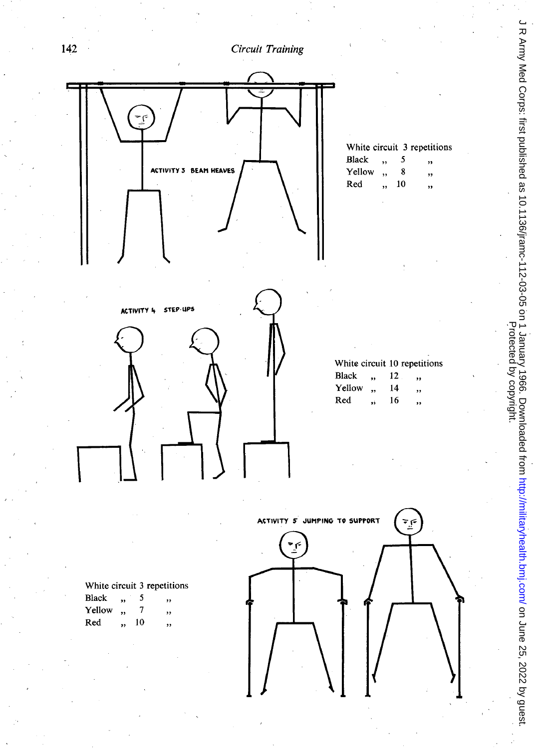142 *Circuit Training* 

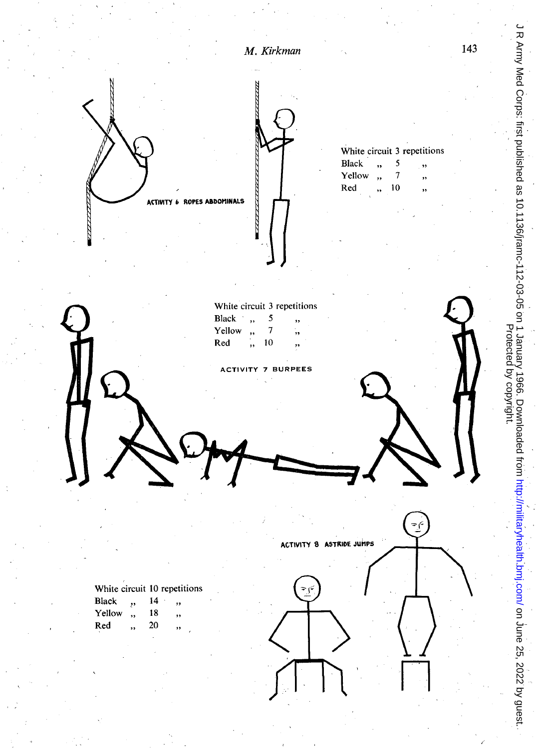

J R Army Med Corps: first published as 10.1136/jramc-112-03-05 on 1 January 1966. Downloaded from http://militaryhealth.bmj.com/ on June 25, 2022 by guest..<br>Protected by comparties as 10.1136/jramc-112-03-05 on 1 January 1 D R Army Med Corps: first published as 10.1136/jram/ J R Army Med Corps: first publishealth.bm/ Http://militaryhealth.bm/ Http://militaryhealth.bm/ Http://militaryhealth.bm/ January 1966. Downloadd from 112-05. On 1 Januar Protected by copyright.